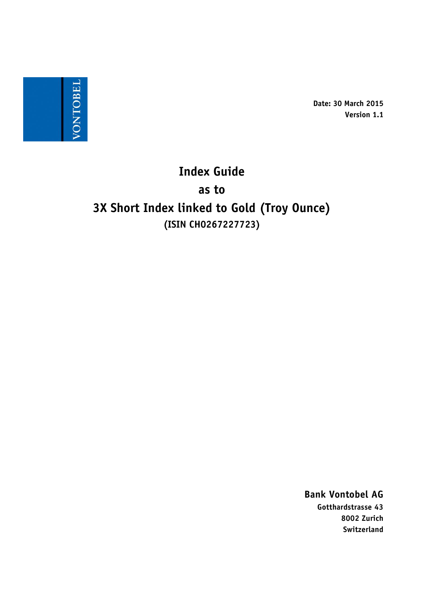

**Date: 30 March 2015 Version 1.1**

# **Index Guide as to 3X Short Index linked to Gold (Troy Ounce) (ISIN CH0267227723)**

**Bank Vontobel AG Gotthardstrasse 43 8002 Zurich Switzerland**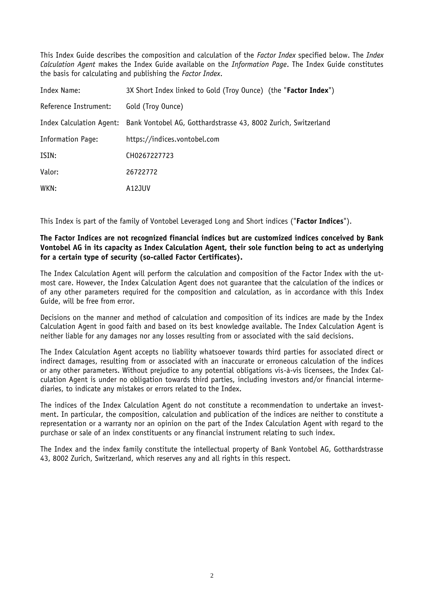This Index Guide describes the composition and calculation of the *Factor Index* specified below. The *Index Calculation Agent* makes the Index Guide available on the *Information Page*. The Index Guide constitutes the basis for calculating and publishing the *Factor Index*.

| Index Name:              | 3X Short Index linked to Gold (Troy Ounce) (the "Factor Index")                         |
|--------------------------|-----------------------------------------------------------------------------------------|
| Reference Instrument:    | Gold (Troy Ounce)                                                                       |
|                          | Index Calculation Agent: Bank Vontobel AG, Gotthardstrasse 43, 8002 Zurich, Switzerland |
| <b>Information Page:</b> | https://indices.vontobel.com                                                            |
| ISIN:                    | CH0267227723                                                                            |
| Valor:                   | 26722772                                                                                |
| WKN:                     | A12JUV                                                                                  |

This Index is part of the family of Vontobel Leveraged Long and Short indices ("**Factor Indices**").

## **The Factor Indices are not recognized financial indices but are customized indices conceived by Bank Vontobel AG in its capacity as Index Calculation Agent, their sole function being to act as underlying for a certain type of security (so-called Factor Certificates).**

The Index Calculation Agent will perform the calculation and composition of the Factor Index with the utmost care. However, the Index Calculation Agent does not guarantee that the calculation of the indices or of any other parameters required for the composition and calculation, as in accordance with this Index Guide, will be free from error.

Decisions on the manner and method of calculation and composition of its indices are made by the Index Calculation Agent in good faith and based on its best knowledge available. The Index Calculation Agent is neither liable for any damages nor any losses resulting from or associated with the said decisions.

The Index Calculation Agent accepts no liability whatsoever towards third parties for associated direct or indirect damages, resulting from or associated with an inaccurate or erroneous calculation of the indices or any other parameters. Without prejudice to any potential obligations vis-à-vis licensees, the Index Calculation Agent is under no obligation towards third parties, including investors and/or financial intermediaries, to indicate any mistakes or errors related to the Index.

The indices of the Index Calculation Agent do not constitute a recommendation to undertake an investment. In particular, the composition, calculation and publication of the indices are neither to constitute a representation or a warranty nor an opinion on the part of the Index Calculation Agent with regard to the purchase or sale of an index constituents or any financial instrument relating to such index.

The Index and the index family constitute the intellectual property of Bank Vontobel AG, Gotthardstrasse 43, 8002 Zurich, Switzerland, which reserves any and all rights in this respect.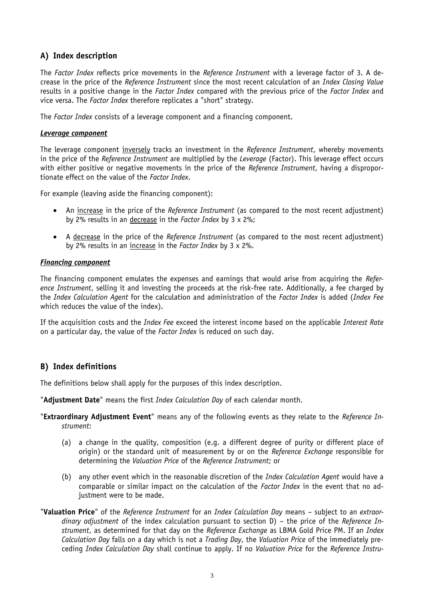# **A) Index description**

The *Factor Index* reflects price movements in the *Reference Instrument* with a leverage factor of 3. A decrease in the price of the *Reference Instrument* since the most recent calculation of an *Index Closing Value* results in a positive change in the *Factor Index* compared with the previous price of the *Factor Index* and vice versa. The *Factor Index* therefore replicates a "short" strategy.

The *Factor Index* consists of a leverage component and a financing component.

#### *Leverage component*

The leverage component inversely tracks an investment in the *Reference Instrument*, whereby movements in the price of the *Reference Instrument* are multiplied by the *Leverage* (Factor). This leverage effect occurs with either positive or negative movements in the price of the *Reference Instrument*, having a disproportionate effect on the value of the *Factor Index*.

For example (leaving aside the financing component):

- An increase in the price of the *Reference Instrument* (as compared to the most recent adjustment) by 2% results in an decrease in the *Factor Index* by 3 x 2%;
- A decrease in the price of the *Reference Instrument* (as compared to the most recent adjustment) by 2% results in an increase in the *Factor Index* by 3 x 2%.

### *Financing component*

The financing component emulates the expenses and earnings that would arise from acquiring the *Reference Instrument*, selling it and investing the proceeds at the risk-free rate. Additionally, a fee charged by the *Index Calculation Agent* for the calculation and administration of the *Factor Index* is added (*Index Fee* which reduces the value of the index).

If the acquisition costs and the *Index Fee* exceed the interest income based on the applicable *Interest Rate* on a particular day, the value of the *Factor Index* is reduced on such day.

## **B) Index definitions**

The definitions below shall apply for the purposes of this index description.

"**Adjustment Date**" means the first *Index Calculation Day* of each calendar month.

- "**Extraordinary Adjustment Event**" means any of the following events as they relate to the *Reference Instrument*:
	- (a) a change in the quality, composition (e.g. a different degree of purity or different place of origin) or the standard unit of measurement by or on the *Reference Exchange* responsible for determining the *Valuation Price* of the *Reference Instrument*; or
	- (b) any other event which in the reasonable discretion of the *Index Calculation Agent* would have a comparable or similar impact on the calculation of the *Factor Index* in the event that no adjustment were to be made.
- "**Valuation Price**" of the *Reference Instrument* for an *Index Calculation Day* means subject to an *extraordinary adjustment* of the index calculation pursuant to section D) – the price of the *Reference Instrument*, as determined for that day on the *Reference Exchange* as LBMA Gold Price PM. If an *Index Calculation Day* falls on a day which is not a *Trading Day*, the *Valuation Price* of the immediately preceding *Index Calculation Day* shall continue to apply. If no *Valuation Price* for the *Reference Instru-*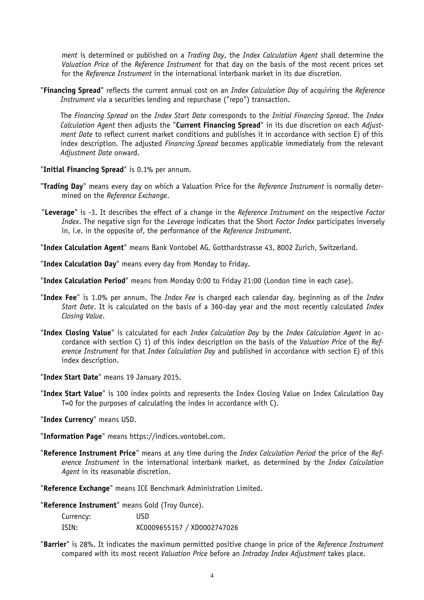*ment* is determined or published on a *Trading Day*, the *Index Calculation Agent* shall determine the *Valuation Price* of the *Reference Instrument* for that day on the basis of the most recent prices set for the *Reference Instrument* in the international interbank market in its due discretion.

"**Financing Spread**" reflects the current annual cost on an *Index Calculation Day* of acquiring the *Reference Instrument* via a securities lending and repurchase ("repo") transaction.

The *Financing Spread* on the *Index Start Date* corresponds to the *Initial Financing Spread*. The *Index Calculation Agent* then adjusts the "**Current Financing Spread**" in its due discretion on each *Adjustment Date* to reflect current market conditions and publishes it in accordance with section E) of this index description. The adjusted *Financing Spread* becomes applicable immediately from the relevant *Adjustment Date* onward.

"**Initial Financing Spread**" is 0.1% per annum.

- "**Trading Day**" means every day on which a Valuation Price for the *Reference Instrument* is normally determined on the *Reference Exchange*.
- "**Leverage**" is -3. It describes the effect of a change in the *Reference Instrument* on the respective *Factor Index*. The negative sign for the *Leverage* indicates that the Short *Factor Index* participates inversely in, i.e. in the opposite of, the performance of the *Reference Instrument*.

"**Index Calculation Agent**" means Bank Vontobel AG, Gotthardstrasse 43, 8002 Zurich, Switzerland.

"**Index Calculation Day**" means every day from Monday to Friday.

"**Index Calculation Period**" means from Monday 0:00 to Friday 21:00 (London time in each case).

- "**Index Fee**" is 1.0% per annum. The *Index Fee* is charged each calendar day, beginning as of the *Index Start Date*. It is calculated on the basis of a 360-day year and the most recently calculated *Index Closing Value*.
- "**Index Closing Value**" is calculated for each *Index Calculation Day* by the *Index Calculation Agent* in accordance with section C) 1) of this index description on the basis of the *Valuation Price* of the *Reference Instrument* for that *Index Calculation Day* and published in accordance with section E) of this index description.

"**Index Start Date**" means 19 January 2015.

"**Index Start Value**" is 100 index points and represents the Index Closing Value on Index Calculation Day T=0 for the purposes of calculating the index in accordance with C).

"**Index Currency**" means USD.

"**Information Page**" means https://indices.vontobel.com.

"**Reference Instrument Price**" means at any time during the *Index Calculation Period* the price of the *Reference Instrument* in the international interbank market, as determined by the *Index Calculation Agent* in its reasonable discretion.

"**Reference Exchange**" means ICE Benchmark Administration Limited.

"**Reference Instrument**" means Gold (Troy Ounce).

| Currency: | USD                         |
|-----------|-----------------------------|
| ISIN:     | XC0009655157 / XD0002747026 |

"**Barrier**" is 28%. It indicates the maximum permitted positive change in price of the *Reference Instrument*  compared with its most recent *Valuation Price* before an *Intraday Index Adjustment* takes place.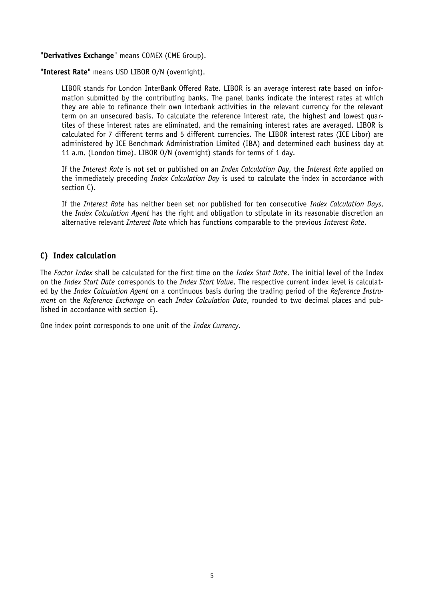"**Derivatives Exchange**" means COMEX (CME Group).

"**Interest Rate**" means USD LIBOR O/N (overnight).

LIBOR stands for London InterBank Offered Rate. LIBOR is an average interest rate based on information submitted by the contributing banks. The panel banks indicate the interest rates at which they are able to refinance their own interbank activities in the relevant currency for the relevant term on an unsecured basis. To calculate the reference interest rate, the highest and lowest quartiles of these interest rates are eliminated, and the remaining interest rates are averaged. LIBOR is calculated for 7 different terms and 5 different currencies. The LIBOR interest rates (ICE Libor) are administered by ICE Benchmark Administration Limited (IBA) and determined each business day at 11 a.m. (London time). LIBOR O/N (overnight) stands for terms of 1 day.

If the *Interest Rate* is not set or published on an *Index Calculation Day*, the *Interest Rate* applied on the immediately preceding *Index Calculation Day* is used to calculate the index in accordance with section C).

If the *Interest Rate* has neither been set nor published for ten consecutive *Index Calculation Days*, the *Index Calculation Agent* has the right and obligation to stipulate in its reasonable discretion an alternative relevant *Interest Rate* which has functions comparable to the previous *Interest Rate*.

# **C) Index calculation**

The *Factor Index* shall be calculated for the first time on the *Index Start Date*. The initial level of the Index on the *Index Start Date* corresponds to the *Index Start Value*. The respective current index level is calculated by the *Index Calculation Agent* on a continuous basis during the trading period of the *Reference Instrument* on the *Reference Exchange* on each *Index Calculation Date*, rounded to two decimal places and published in accordance with section E).

One index point corresponds to one unit of the *Index Currency*.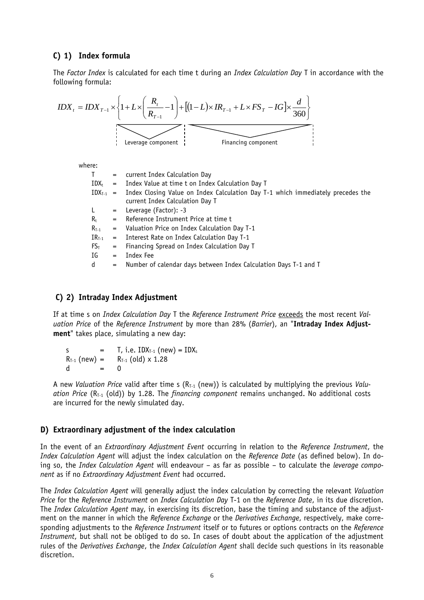## **C) 1) Index formula**

The *Factor Index* is calculated for each time t during an *Index Calculation Day* T in accordance with the following formula:

$$
IDX_{t} = IDX_{T-1} \times \left\{ 1 + L \times \left( \frac{R_{t}}{R_{T-1}} - 1 \right) + \left[ (1 - L) \times IR_{T-1} + L \times FS_{T} - IG \right] \times \frac{d}{360} \right\}
$$
  
\n
$$
L = \text{Average component}
$$
  
\nwhere:  
\n
$$
T = \text{current Index Calculation Day}
$$
  
\n
$$
IDX_{t-1} = \text{Index Closing Value on Index Calculation Day T}
$$
  
\n
$$
L = \text{Leverage (Factor): -3}
$$
  
\n
$$
R_{t} = \text{Reference Instrument Price at time t}
$$
  
\n
$$
R_{T-1} = \text{Value of Theorem Index Calculation Day T}
$$
  
\n
$$
R_{t} = \text{Reference Instrument Price at time t}
$$
  
\n
$$
R_{T-1} = \text{Value of Theorem Index Calculation Day T}
$$

 $IR<sub>T-1</sub>$  = Interest Rate on Index Calculation Day T-1

- $FS_T$  = Financing Spread on Index Calculation Day T
- IG = Index Fee
- d = Number of calendar days between Index Calculation Days T-1 and T

#### **C) 2) Intraday Index Adjustment**

If at time s on *Index Calculation Day* T the *Reference Instrument Price* exceeds the most recent *Valuation Price* of the *Reference Instrument* by more than 28% (*Barrier*), an "**Intraday Index Adjustment**" takes place, simulating a new day:

s  $=$  T, i.e.  $IDX_{T-1}$  (new)  $= IDX_s$  $R_{T-1}$  (new) =  $R_{T-1}$  (old) x 1.28 d = 0

A new *Valuation Price* valid after time s (R<sub>T-1</sub> (new)) is calculated by multiplying the previous *Valuation Price* (R<sub>T-1</sub> (old)) by 1.28. The *financing component* remains unchanged. No additional costs are incurred for the newly simulated day.

#### **D) Extraordinary adjustment of the index calculation**

In the event of an *Extraordinary Adjustment Event* occurring in relation to the *Reference Instrument*, the *Index Calculation Agent* will adjust the index calculation on the *Reference Date* (as defined below). In doing so, the *Index Calculation Agent* will endeavour – as far as possible – to calculate the *leverage component* as if no *Extraordinary Adjustment Event* had occurred.

The *Index Calculation Agent* will generally adjust the index calculation by correcting the relevant *Valuation Price* for the *Reference Instrument* on *Index Calculation Day* T-1 on the *Reference Date*, in its due discretion. The *Index Calculation Agent* may, in exercising its discretion, base the timing and substance of the adjustment on the manner in which the *Reference Exchange* or the *Derivatives Exchange*, respectively, make corresponding adjustments to the *Reference Instrument* itself or to futures or options contracts on the *Reference Instrument*, but shall not be obliged to do so. In cases of doubt about the application of the adjustment rules of the *Derivatives Exchange*, the *Index Calculation Agent* shall decide such questions in its reasonable discretion.